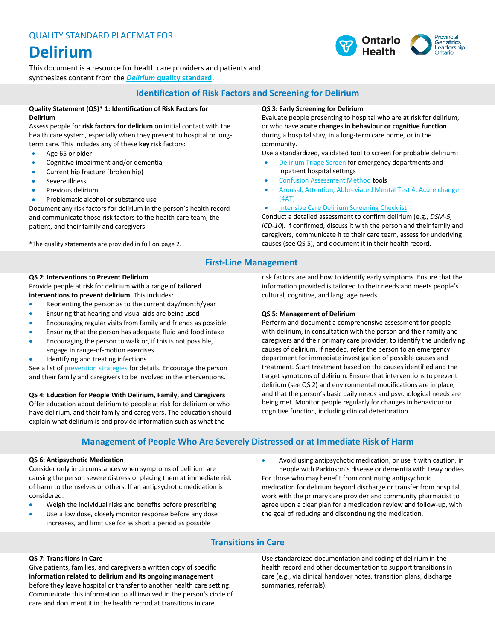# **Delirium**

This document is a resource for health care providers and patients and synthesizes content from the *Delirium* **[quality standard](https://www.hqontario.ca/Portals/0/documents/evidence/quality-standards/qs-delirium-quality-standard-en.pdf)**.

### **Identification of Risk Factors and Screening for Delirium**

### **Quality Statement (QS)\* 1: Identification of Risk Factors for Delirium**

Assess people for **risk factors for delirium** on initial contact with the health care system, especially when they present to hospital or longterm care. This includes any of these **key** risk factors:

- Age 65 or older
- Cognitive impairment and/or dementia
- Current hip fracture (broken hip)
- Severe illness
- Previous delirium
- Problematic alcohol or substance use

Document any risk factors for delirium in the person's health record and communicate those risk factors to the health care team, the patient, and their family and caregivers.

\*The quality statements are provided in full on page 2.

### **QS 3: Early Screening for Delirium**

Evaluate people presenting to hospital who are at risk for delirium, or who have **acute changes in behaviour or cognitive function** during a hospital stay, in a long-term care home, or in the community.

Use a standardized, validated tool to screen for probable delirium:

- [Delirium Triage Screen](http://eddelirium.org/delirium-assessment/dts/) for emergency departments and inpatient hospital settings
- [Confusion Assessment Method](https://deliriumnetwork.org/measurement/cam-instruments/) tools
- [Arousal, Attention, Abbreviated Mental Test 4, Acute change](https://www.the4at.com/) [\(4AT\)](https://www.the4at.com/)
- **[Intensive Care Delirium Screening Checklist](https://deliriumnetwork.org/wp-content/uploads/2018/05/ICDSC.pdf)**

Conduct a detailed assessment to confirm delirium (e.g., *DSM-5*, *ICD-10*). If confirmed, discuss it with the person and their family and caregivers, communicate it to their care team, assess for underlying causes (see QS 5), and document it in their health record.

# **First-Line Management**

### **QS 2: Interventions to Prevent Delirium**

Provide people at risk for delirium with a range of **tailored interventions to prevent delirium**. This includes:

- Reorienting the person as to the current day/month/year
- Ensuring that hearing and visual aids are being used
- Encouraging regular visits from family and friends as possible
- Ensuring that the person has adequate fluid and food intake
- Encouraging the person to walk or, if this is not possible, engage in range-of-motion exercises
- Identifying and treating infections

See a list of **prevention strategies** for details. Encourage the person and their family and caregivers to be involved in the interventions.

### **QS 4: Education for People With Delirium, Family, and Caregivers**

Offer education about delirium to people at risk for delirium or who have delirium, and their family and caregivers. The education should explain what delirium is and provide information such as what the

risk factors are and how to identify early symptoms. Ensure that the information provided is tailored to their needs and meets people's cultural, cognitive, and language needs.

### **QS 5: Management of Delirium**

Perform and document a comprehensive assessment for people with delirium, in consultation with the person and their family and caregivers and their primary care provider, to identify the underlying causes of delirium. If needed, refer the person to an emergency department for immediate investigation of possible causes and treatment. Start treatment based on the causes identified and the target symptoms of delirium. Ensure that interventions to prevent delirium (see QS 2) and environmental modifications are in place, and that the person's basic daily needs and psychological needs are being met. Monitor people regularly for changes in behaviour or cognitive function, including clinical deterioration.

### **Management of People Who Are Severely Distressed or at Immediate Risk of Harm**

### **QS 6: Antipsychotic Medication**

Consider only in circumstances when symptoms of delirium are causing the person severe distress or placing them at immediate risk of harm to themselves or others. If an antipsychotic medication is considered:

- Weigh the individual risks and benefits before prescribing
- Use a low dose, closely monitor response before any dose increases, and limit use for as short a period as possible

• Avoid using antipsychotic medication, or use it with caution, in people with Parkinson's disease or dementia with Lewy bodies For those who may benefit from continuing antipsychotic medication for delirium beyond discharge or transfer from hospital, work with the primary care provider and community pharmacist to agree upon a clear plan for a medication review and follow-up, with the goal of reducing and discontinuing the medication.

### **Transitions in Care**

### **QS 7: Transitions in Care**

Give patients, families, and caregivers a written copy of specific **information related to delirium and its ongoing management** before they leave hospital or transfer to another health care setting. Communicate this information to all involved in the person's circle of care and document it in the health record at transitions in care.

Use standardized documentation and coding of delirium in the health record and other documentation to support transitions in care (e.g., via clinical handover notes, transition plans, discharge summaries, referrals).

#### Provincial **Geriatrics** Leadership Health